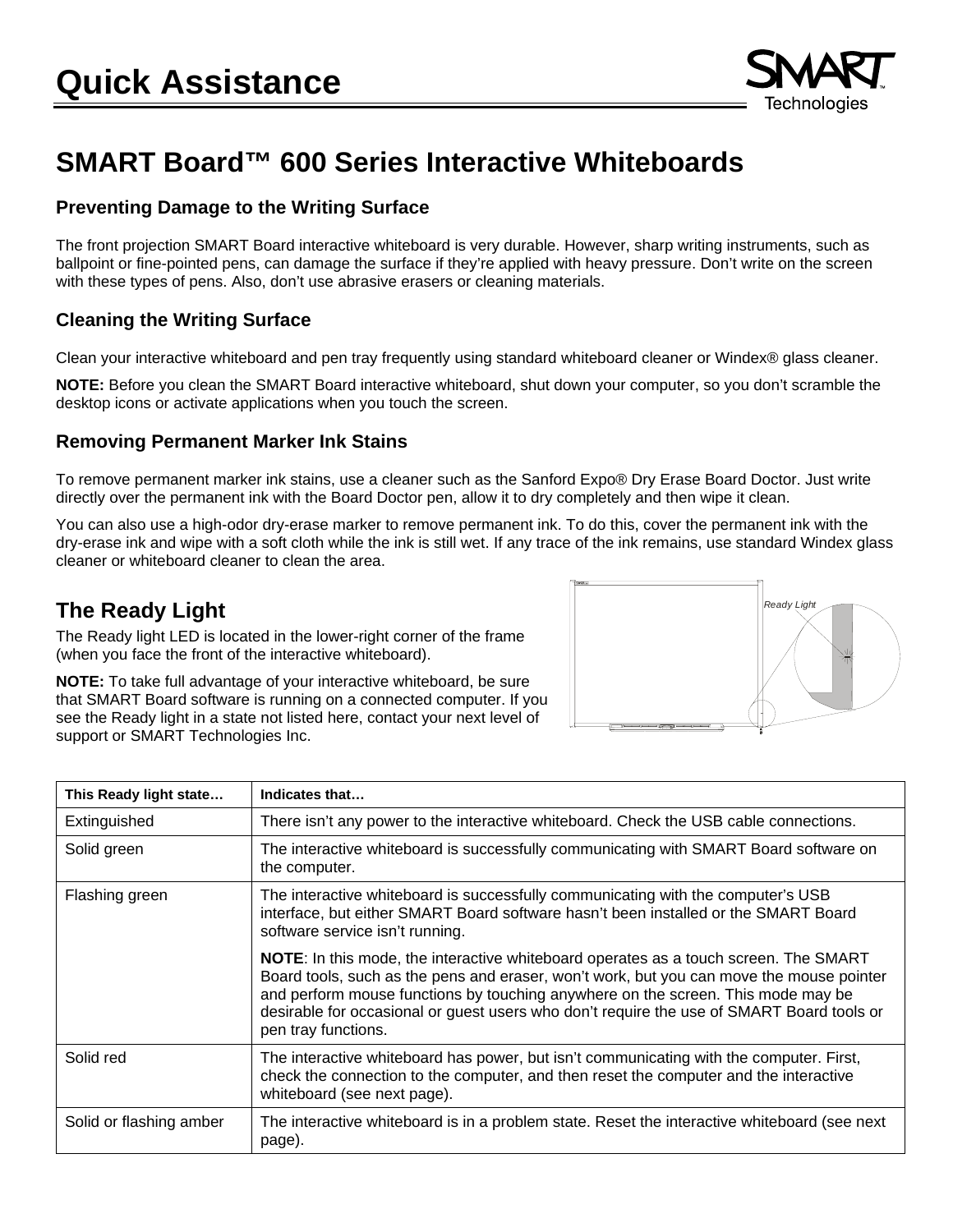

# **SMART Board™ 600 Series Interactive Whiteboards**

#### **Preventing Damage to the Writing Surface**

The front projection SMART Board interactive whiteboard is very durable. However, sharp writing instruments, such as ballpoint or fine-pointed pens, can damage the surface if they're applied with heavy pressure. Don't write on the screen with these types of pens. Also, don't use abrasive erasers or cleaning materials.

#### **Cleaning the Writing Surface**

Clean your interactive whiteboard and pen tray frequently using standard whiteboard cleaner or Windex® glass cleaner.

**NOTE:** Before you clean the SMART Board interactive whiteboard, shut down your computer, so you don't scramble the desktop icons or activate applications when you touch the screen.

#### **Removing Permanent Marker Ink Stains**

To remove permanent marker ink stains, use a cleaner such as the Sanford Expo® Dry Erase Board Doctor. Just write directly over the permanent ink with the Board Doctor pen, allow it to dry completely and then wipe it clean.

You can also use a high-odor dry-erase marker to remove permanent ink. To do this, cover the permanent ink with the dry-erase ink and wipe with a soft cloth while the ink is still wet. If any trace of the ink remains, use standard Windex glass cleaner or whiteboard cleaner to clean the area.

### **The Ready Light**

The Ready light LED is located in the lower-right corner of the frame (when you face the front of the interactive whiteboard).

**NOTE:** To take full advantage of your interactive whiteboard, be sure that SMART Board software is running on a connected computer. If you see the Ready light in a state not listed here, contact your next level of support or SMART Technologies Inc.



| This Ready light state  | Indicates that                                                                                                                                                                                                                                                                                                                                                                                  |
|-------------------------|-------------------------------------------------------------------------------------------------------------------------------------------------------------------------------------------------------------------------------------------------------------------------------------------------------------------------------------------------------------------------------------------------|
| Extinguished            | There isn't any power to the interactive whiteboard. Check the USB cable connections.                                                                                                                                                                                                                                                                                                           |
| Solid green             | The interactive whiteboard is successfully communicating with SMART Board software on<br>the computer.                                                                                                                                                                                                                                                                                          |
| Flashing green          | The interactive whiteboard is successfully communicating with the computer's USB<br>interface, but either SMART Board software hasn't been installed or the SMART Board<br>software service isn't running.                                                                                                                                                                                      |
|                         | <b>NOTE:</b> In this mode, the interactive whiteboard operates as a touch screen. The SMART<br>Board tools, such as the pens and eraser, won't work, but you can move the mouse pointer<br>and perform mouse functions by touching anywhere on the screen. This mode may be<br>desirable for occasional or guest users who don't require the use of SMART Board tools or<br>pen tray functions. |
| Solid red               | The interactive whiteboard has power, but isn't communicating with the computer. First,<br>check the connection to the computer, and then reset the computer and the interactive<br>whiteboard (see next page).                                                                                                                                                                                 |
| Solid or flashing amber | The interactive whiteboard is in a problem state. Reset the interactive whiteboard (see next<br>page).                                                                                                                                                                                                                                                                                          |